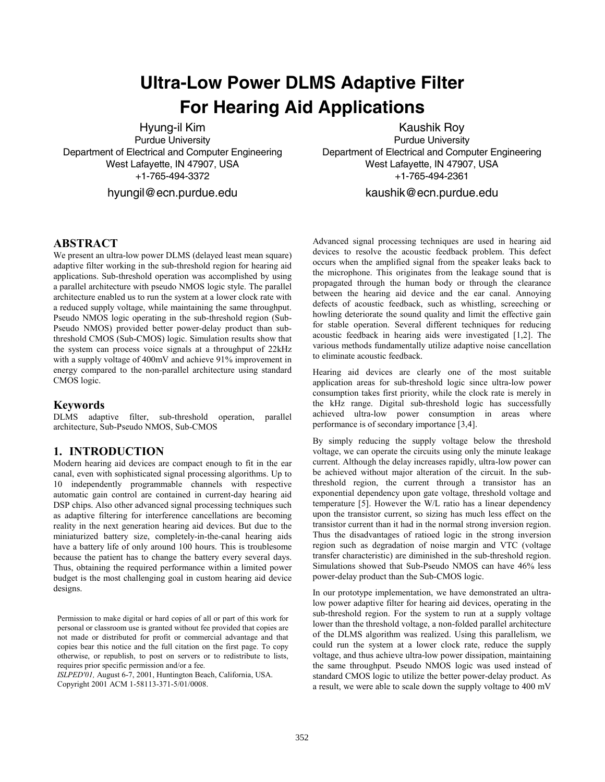# **Ultra-Low Power DLMS Adaptive Filter For Hearing Aid Applications**

Hyung-il Kim Purdue University Department of Electrical and Computer Engineering West Lafayette, IN 47907, USA +1-765-494-3372

hyungil@ecn.purdue.edu

Kaushik Roy Purdue University Department of Electrical and Computer Engineering West Lafayette, IN 47907, USA +1-765-494-2361

kaushik@ecn.purdue.edu

# **ABSTRACT**

We present an ultra-low power DLMS (delayed least mean square) adaptive filter working in the sub-threshold region for hearing aid applications. Sub-threshold operation was accomplished by using a parallel architecture with pseudo NMOS logic style. The parallel architecture enabled us to run the system at a lower clock rate with a reduced supply voltage, while maintaining the same throughput. Pseudo NMOS logic operating in the sub-threshold region (Sub-Pseudo NMOS) provided better power-delay product than subthreshold CMOS (Sub-CMOS) logic. Simulation results show that the system can process voice signals at a throughput of 22kHz with a supply voltage of 400mV and achieve 91% improvement in energy compared to the non-parallel architecture using standard CMOS logic.

#### **Keywords**

DLMS adaptive filter, sub-threshold operation, parallel architecture, Sub-Pseudo NMOS, Sub-CMOS

## **1. INTRODUCTION**

Modern hearing aid devices are compact enough to fit in the ear canal, even with sophisticated signal processing algorithms. Up to 10 independently programmable channels with respective automatic gain control are contained in current-day hearing aid DSP chips. Also other advanced signal processing techniques such as adaptive filtering for interference cancellations are becoming reality in the next generation hearing aid devices. But due to the miniaturized battery size, completely-in-the-canal hearing aids have a battery life of only around 100 hours. This is troublesome because the patient has to change the battery every several days. Thus, obtaining the required performance within a limited power budget is the most challenging goal in custom hearing aid device designs.

Permission to make digital or hard copies of all or part of this work for personal or classroom use is granted without fee provided that copies are not made or distributed for profit or commercial advantage and that copies bear this notice and the full citation on the first page. To copy otherwise, or republish, to post on servers or to redistribute to lists, requires prior specific permission and/or a fee.

*ISLPED'01,* August 6-7, 2001, Huntington Beach, California, USA. Copyright 2001 ACM 1-58113-371-5/01/0008.

Advanced signal processing techniques are used in hearing aid devices to resolve the acoustic feedback problem. This defect occurs when the amplified signal from the speaker leaks back to the microphone. This originates from the leakage sound that is propagated through the human body or through the clearance between the hearing aid device and the ear canal. Annoying defects of acoustic feedback, such as whistling, screeching or howling deteriorate the sound quality and limit the effective gain for stable operation. Several different techniques for reducing acoustic feedback in hearing aids were investigated [1,2]. The various methods fundamentally utilize adaptive noise cancellation to eliminate acoustic feedback.

Hearing aid devices are clearly one of the most suitable application areas for sub-threshold logic since ultra-low power consumption takes first priority, while the clock rate is merely in the kHz range. Digital sub-threshold logic has successfully achieved ultra-low power consumption in areas where performance is of secondary importance [3,4].

By simply reducing the supply voltage below the threshold voltage, we can operate the circuits using only the minute leakage current. Although the delay increases rapidly, ultra-low power can be achieved without major alteration of the circuit. In the subthreshold region, the current through a transistor has an exponential dependency upon gate voltage, threshold voltage and temperature [5]. However the W/L ratio has a linear dependency upon the transistor current, so sizing has much less effect on the transistor current than it had in the normal strong inversion region. Thus the disadvantages of ratioed logic in the strong inversion region such as degradation of noise margin and VTC (voltage transfer characteristic) are diminished in the sub-threshold region. Simulations showed that Sub-Pseudo NMOS can have 46% less power-delay product than the Sub-CMOS logic.

In our prototype implementation, we have demonstrated an ultralow power adaptive filter for hearing aid devices, operating in the sub-threshold region. For the system to run at a supply voltage lower than the threshold voltage, a non-folded parallel architecture of the DLMS algorithm was realized. Using this parallelism, we could run the system at a lower clock rate, reduce the supply voltage, and thus achieve ultra-low power dissipation, maintaining the same throughput. Pseudo NMOS logic was used instead of standard CMOS logic to utilize the better power-delay product. As a result, we were able to scale down the supply voltage to 400 mV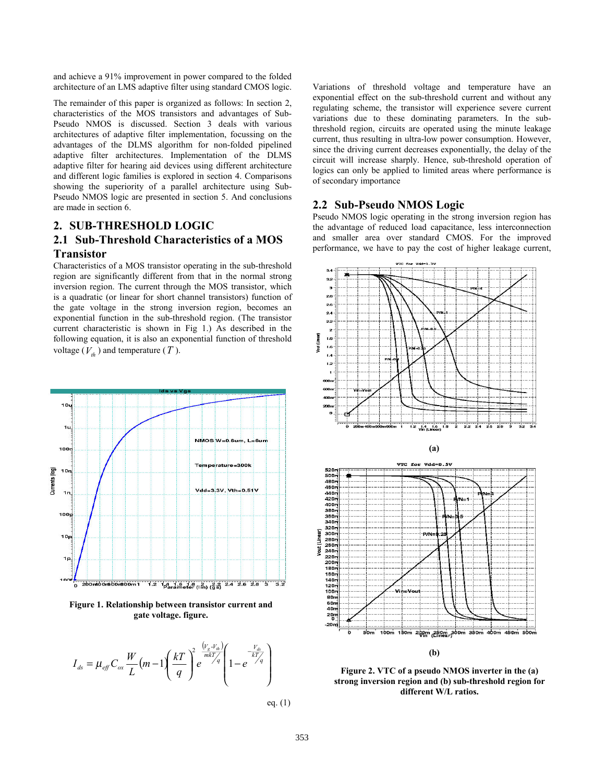and achieve a 91% improvement in power compared to the folded architecture of an LMS adaptive filter using standard CMOS logic.

The remainder of this paper is organized as follows: In section 2, characteristics of the MOS transistors and advantages of Sub-Pseudo NMOS is discussed. Section 3 deals with various architectures of adaptive filter implementation, focussing on the advantages of the DLMS algorithm for non-folded pipelined adaptive filter architectures. Implementation of the DLMS adaptive filter for hearing aid devices using different architecture and different logic families is explored in section 4. Comparisons showing the superiority of a parallel architecture using Sub-Pseudo NMOS logic are presented in section 5. And conclusions are made in section 6.

# **2. SUB-THRESHOLD LOGIC 2.1 Sub-Threshold Characteristics of a MOS Transistor**

Characteristics of a MOS transistor operating in the sub-threshold region are significantly different from that in the normal strong inversion region. The current through the MOS transistor, which is a quadratic (or linear for short channel transistors) function of the gate voltage in the strong inversion region, becomes an exponential function in the sub-threshold region. (The transistor current characteristic is shown in Fig 1.) As described in the following equation, it is also an exponential function of threshold voltage  $(V<sub>th</sub>)$  and temperature  $(T)$ .



**Figure 1. Relationship between transistor current and gate voltage. figure.** 



eq. (1)

Variations of threshold voltage and temperature have an exponential effect on the sub-threshold current and without any regulating scheme, the transistor will experience severe current variations due to these dominating parameters. In the subthreshold region, circuits are operated using the minute leakage current, thus resulting in ultra-low power consumption. However, since the driving current decreases exponentially, the delay of the circuit will increase sharply. Hence, sub-threshold operation of logics can only be applied to limited areas where performance is of secondary importance

#### **2.2 Sub-Pseudo NMOS Logic**

Pseudo NMOS logic operating in the strong inversion region has the advantage of reduced load capacitance, less interconnection and smaller area over standard CMOS. For the improved performance, we have to pay the cost of higher leakage current,



**Figure 2. VTC of a pseudo NMOS inverter in the (a) strong inversion region and (b) sub-threshold region for different W/L ratios.**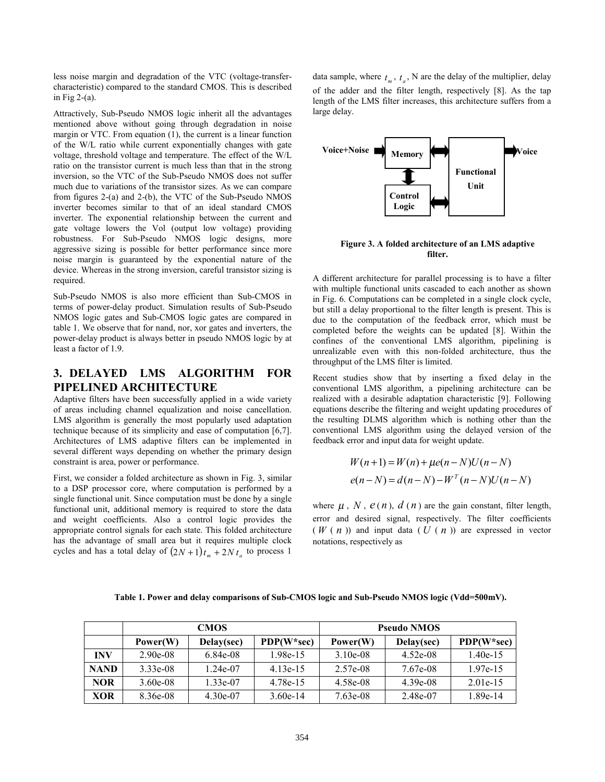less noise margin and degradation of the VTC (voltage-transfercharacteristic) compared to the standard CMOS. This is described in Fig  $2-(a)$ .

Attractively, Sub-Pseudo NMOS logic inherit all the advantages mentioned above without going through degradation in noise margin or VTC. From equation (1), the current is a linear function of the W/L ratio while current exponentially changes with gate voltage, threshold voltage and temperature. The effect of the W/L ratio on the transistor current is much less than that in the strong inversion, so the VTC of the Sub-Pseudo NMOS does not suffer much due to variations of the transistor sizes. As we can compare from figures 2-(a) and 2-(b), the VTC of the Sub-Pseudo NMOS inverter becomes similar to that of an ideal standard CMOS inverter. The exponential relationship between the current and gate voltage lowers the Vol (output low voltage) providing robustness. For Sub-Pseudo NMOS logic designs, more aggressive sizing is possible for better performance since more noise margin is guaranteed by the exponential nature of the device. Whereas in the strong inversion, careful transistor sizing is required.

Sub-Pseudo NMOS is also more efficient than Sub-CMOS in terms of power-delay product. Simulation results of Sub-Pseudo NMOS logic gates and Sub-CMOS logic gates are compared in table 1. We observe that for nand, nor, xor gates and inverters, the power-delay product is always better in pseudo NMOS logic by at least a factor of 1.9.

# **3. DELAYED LMS ALGORITHM FOR PIPELINED ARCHITECTURE**

Adaptive filters have been successfully applied in a wide variety of areas including channel equalization and noise cancellation. LMS algorithm is generally the most popularly used adaptation technique because of its simplicity and ease of computation [6,7]. Architectures of LMS adaptive filters can be implemented in several different ways depending on whether the primary design constraint is area, power or performance.

First, we consider a folded architecture as shown in Fig. 3, similar to a DSP processor core, where computation is performed by a single functional unit. Since computation must be done by a single functional unit, additional memory is required to store the data and weight coefficients. Also a control logic provides the appropriate control signals for each state. This folded architecture has the advantage of small area but it requires multiple clock cycles and has a total delay of  $(2N + 1)t_m + 2Nt_a$  to process 1

data sample, where  $t_{m}$ ,  $t_{a}$ , N are the delay of the multiplier, delay of the adder and the filter length, respectively [8]. As the tap length of the LMS filter increases, this architecture suffers from a large delay.



**Figure 3. A folded architecture of an LMS adaptive filter.** 

A different architecture for parallel processing is to have a filter with multiple functional units cascaded to each another as shown in Fig. 6. Computations can be completed in a single clock cycle, but still a delay proportional to the filter length is present. This is due to the computation of the feedback error, which must be completed before the weights can be updated [8]. Within the confines of the conventional LMS algorithm, pipelining is unrealizable even with this non-folded architecture, thus the throughput of the LMS filter is limited.

Recent studies show that by inserting a fixed delay in the conventional LMS algorithm, a pipelining architecture can be realized with a desirable adaptation characteristic [9]. Following equations describe the filtering and weight updating procedures of the resulting DLMS algorithm which is nothing other than the conventional LMS algorithm using the delayed version of the feedback error and input data for weight update.

$$
W(n+1) = W(n) + \mu e(n-N)U(n-N)
$$
  

$$
e(n-N) = d(n-N) - W^{T}(n-N)U(n-N)
$$

where  $\mu$ ,  $N$ ,  $e(n)$ ,  $d(n)$  are the gain constant, filter length, error and desired signal, respectively. The filter coefficients  $(W(n))$  and input data  $(U(n))$  are expressed in vector notations, respectively as

Table 1. Power and delay comparisons of Sub-CMOS logic and Sub-Pseudo NMOS logic (Vdd=500mV).

|             | <b>CMOS</b> |            |              | <b>Pseudo NMOS</b> |            |              |
|-------------|-------------|------------|--------------|--------------------|------------|--------------|
|             | Power(W)    | Delay(sec) | $PDP(W*sec)$ | Power(W)           | Delay(sec) | $PDP(W*sec)$ |
| <b>INV</b>  | $2.90e-08$  | 6.84e-08   | 1.98e-15     | $3.10e-08$         | $4.52e-08$ | $1.40e-15$   |
| <b>NAND</b> | $3.33e-08$  | $1.24e-07$ | $4.13e-15$   | 2.57e-08           | 7.67e-08   | $1.97e-15$   |
| <b>NOR</b>  | $3.60e-08$  | 1.33e-07   | 4.78e-15     | 4.58e-08           | $4.39e-08$ | $2.01e-15$   |
| <b>XOR</b>  | 8.36e-08    | $4.30e-07$ | $3.60e-14$   | $7.63e-08$         | 2.48e-07   | 1.89e-14     |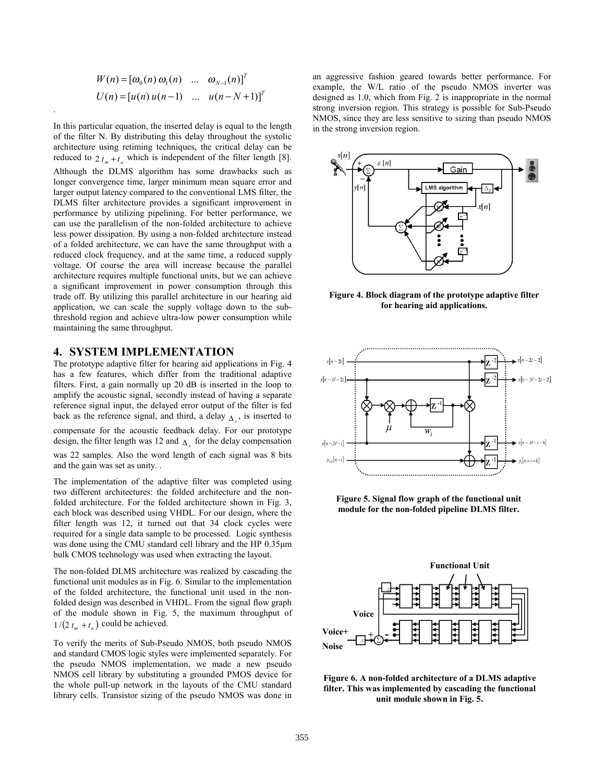$$
W(n) = [\omega_0(n) \omega_1(n) \dots \omega_{N-1}(n)]^T
$$
  
 
$$
U(n) = [u(n) u(n-1) \dots u(n-N+1)]^T
$$

.

In this particular equation, the inserted delay is equal to the length of the filter N. By distributing this delay throughout the systolic architecture using retiming techniques, the critical delay can be reduced to  $2 t_{m} + t_{a}$  which is independent of the filter length [8]. Although the DLMS algorithm has some drawbacks such as longer convergence time, larger minimum mean square error and larger output latency compared to the conventional LMS filter, the DLMS filter architecture provides a significant improvement in performance by utilizing pipelining. For better performance, we can use the parallelism of the non-folded architecture to achieve less power dissipation. By using a non-folded architecture instead of a folded architecture, we can have the same throughput with a reduced clock frequency, and at the same time, a reduced supply voltage. Of course the area will increase because the parallel architecture requires multiple functional units, but we can achieve a significant improvement in power consumption through this trade off. By utilizing this parallel architecture in our hearing aid application, we can scale the supply voltage down to the subthreshold region and achieve ultra-low power consumption while maintaining the same throughput.

# **4. SYSTEM IMPLEMENTATION**

The prototype adaptive filter for hearing aid applications in Fig. 4 has a few features, which differ from the traditional adaptive filters. First, a gain normally up 20 dB is inserted in the loop to amplify the acoustic signal, secondly instead of having a separate reference signal input, the delayed error output of the filter is fed back as the reference signal, and third, a delay  $\Delta$ <sub>x</sub>, is inserted to compensate for the acoustic feedback delay. For our prototype design, the filter length was 12 and  $\Delta$  for the delay compensation was 22 samples. Also the word length of each signal was 8 bits and the gain was set as unity. .

The implementation of the adaptive filter was completed using two different architectures: the folded architecture and the nonfolded architecture. For the folded architecture shown in Fig. 3, each block was described using VHDL. For our design, where the filter length was 12, it turned out that 34 clock cycles were required for a single data sample to be processed. Logic synthesis was done using the CMU standard cell library and the HP 0.35µm bulk CMOS technology was used when extracting the layout.

The non-folded DLMS architecture was realized by cascading the functional unit modules as in Fig. 6. Similar to the implementation of the folded architecture, the functional unit used in the nonfolded design was described in VHDL. From the signal flow graph of the module shown in Fig. 5, the maximum throughput of  $1/(2 t_m + t_a)$  could be achieved.

To verify the merits of Sub-Pseudo NMOS, both pseudo NMOS and standard CMOS logic styles were implemented separately. For the pseudo NMOS implementation, we made a new pseudo NMOS cell library by substituting a grounded PMOS device for the whole pull-up network in the layouts of the CMU standard library cells. Transistor sizing of the pseudo NMOS was done in

an aggressive fashion geared towards better performance. For example, the W/L ratio of the pseudo NMOS inverter was designed as 1.0, which from Fig. 2 is inappropriate in the normal strong inversion region. This strategy is possible for Sub-Pseudo NMOS, since they are less sensitive to sizing than pseudo NMOS in the strong inversion region.



**Figure 4. Block diagram of the prototype adaptive filter for hearing aid applications.** 



**Figure 5. Signal flow graph of the functional unit module for the non-folded pipeline DLMS filter.** 



**Figure 6. A non-folded architecture of a DLMS adaptive filter. This was implemented by cascading the functional unit module shown in Fig. 5.**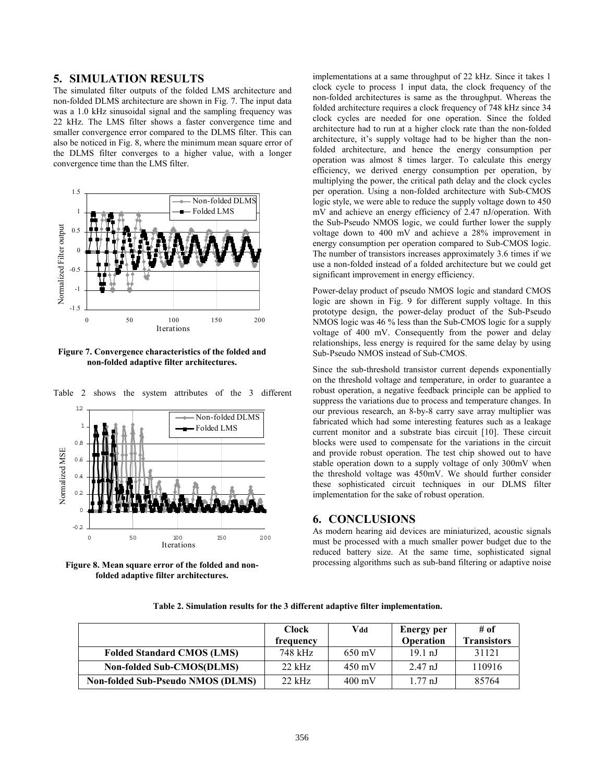### **5. SIMULATION RESULTS**

The simulated filter outputs of the folded LMS architecture and non-folded DLMS architecture are shown in Fig. 7. The input data was a 1.0 kHz sinusoidal signal and the sampling frequency was 22 kHz. The LMS filter shows a faster convergence time and smaller convergence error compared to the DLMS filter. This can also be noticed in Fig. 8, where the minimum mean square error of the DLMS filter converges to a higher value, with a longer convergence time than the LMS filter.



**Figure 7. Convergence characteristics of the folded and non-folded adaptive filter architectures.** 



Table 2 shows the system attributes of the 3 different

**Figure 8. Mean square error of the folded and nonfolded adaptive filter architectures.** 

implementations at a same throughput of 22 kHz. Since it takes 1 clock cycle to process 1 input data, the clock frequency of the non-folded architectures is same as the throughput. Whereas the folded architecture requires a clock frequency of 748 kHz since 34 clock cycles are needed for one operation. Since the folded architecture had to run at a higher clock rate than the non-folded architecture, it's supply voltage had to be higher than the nonfolded architecture, and hence the energy consumption per operation was almost 8 times larger. To calculate this energy efficiency, we derived energy consumption per operation, by multiplying the power, the critical path delay and the clock cycles per operation. Using a non-folded architecture with Sub-CMOS logic style, we were able to reduce the supply voltage down to 450 mV and achieve an energy efficiency of 2.47 nJ/operation. With the Sub-Pseudo NMOS logic, we could further lower the supply voltage down to 400 mV and achieve a 28% improvement in energy consumption per operation compared to Sub-CMOS logic. The number of transistors increases approximately 3.6 times if we use a non-folded instead of a folded architecture but we could get significant improvement in energy efficiency.

Power-delay product of pseudo NMOS logic and standard CMOS logic are shown in Fig. 9 for different supply voltage. In this prototype design, the power-delay product of the Sub-Pseudo NMOS logic was 46 % less than the Sub-CMOS logic for a supply voltage of 400 mV. Consequently from the power and delay relationships, less energy is required for the same delay by using Sub-Pseudo NMOS instead of Sub-CMOS.

Since the sub-threshold transistor current depends exponentially on the threshold voltage and temperature, in order to guarantee a robust operation, a negative feedback principle can be applied to suppress the variations due to process and temperature changes. In our previous research, an 8-by-8 carry save array multiplier was fabricated which had some interesting features such as a leakage current monitor and a substrate bias circuit [10]. These circuit blocks were used to compensate for the variations in the circuit and provide robust operation. The test chip showed out to have stable operation down to a supply voltage of only 300mV when the threshold voltage was 450mV. We should further consider these sophisticated circuit techniques in our DLMS filter implementation for the sake of robust operation.

#### **6. CONCLUSIONS**

As modern hearing aid devices are miniaturized, acoustic signals must be processed with a much smaller power budget due to the reduced battery size. At the same time, sophisticated signal processing algorithms such as sub-band filtering or adaptive noise

|                                          | <b>Clock</b><br>frequency | Vdd              | Energy per<br>Operation | # of<br><b>Transistors</b> |
|------------------------------------------|---------------------------|------------------|-------------------------|----------------------------|
| <b>Folded Standard CMOS (LMS)</b>        | 748 kHz                   | $650 \text{ mV}$ | $19.1 \text{ nJ}$       | 31121                      |
| <b>Non-folded Sub-CMOS(DLMS)</b>         | $22$ kHz                  | $450 \text{ mV}$ | $2.47 \text{ nJ}$       | 110916                     |
| <b>Non-folded Sub-Pseudo NMOS (DLMS)</b> | $22$ kHz                  | $400 \text{ mV}$ | $177 \text{ nJ}$        | 85764                      |

**Table 2. Simulation results for the 3 different adaptive filter implementation.**